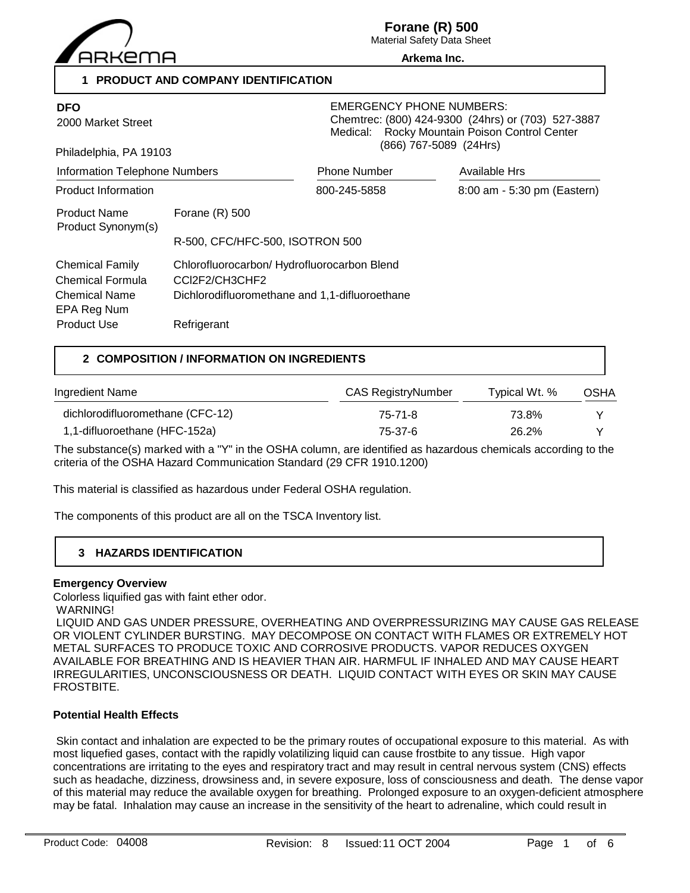

Material Safety Data Sheet **Arkema Inc.**

**1 PRODUCT AND COMPANY IDENTIFICATION**

| <b>DFO</b><br>2000 Market Street<br>Philadelphia, PA 19103<br><b>Information Telephone Numbers</b> |                                                                                                                                | <b>EMERGENCY PHONE NUMBERS:</b><br>Chemtrec: (800) 424-9300 (24hrs) or (703) 527-3887<br>Rocky Mountain Poison Control Center<br>Medical:<br>(866) 767-5089 (24Hrs) |                             |  |
|----------------------------------------------------------------------------------------------------|--------------------------------------------------------------------------------------------------------------------------------|---------------------------------------------------------------------------------------------------------------------------------------------------------------------|-----------------------------|--|
|                                                                                                    |                                                                                                                                | <b>Phone Number</b>                                                                                                                                                 | Available Hrs               |  |
| Product Information                                                                                |                                                                                                                                | 800-245-5858                                                                                                                                                        | 8:00 am - 5:30 pm (Eastern) |  |
| <b>Product Name</b><br>Product Synonym(s)                                                          | Forane $(R)$ 500<br>R-500, CFC/HFC-500, ISOTRON 500                                                                            |                                                                                                                                                                     |                             |  |
| <b>Chemical Family</b><br>Chemical Formula<br><b>Chemical Name</b><br>EPA Reg Num<br>Product Use   | Chlorofluorocarbon/ Hydrofluorocarbon Blend<br>CCI2F2/CH3CHF2<br>Dichlorodifluoromethane and 1,1-difluoroethane<br>Refrigerant |                                                                                                                                                                     |                             |  |

# **2 COMPOSITION / INFORMATION ON INGREDIENTS**

| Ingredient Name                  | CAS RegistryNumber | Typical Wt. % | <b>OSHA</b> |
|----------------------------------|--------------------|---------------|-------------|
| dichlorodifluoromethane (CFC-12) | 75-71-8            | 73.8%         |             |
| 1,1-difluoroethane (HFC-152a)    | 75-37-6            | 26.2%         |             |

The substance(s) marked with a "Y" in the OSHA column, are identified as hazardous chemicals according to the criteria of the OSHA Hazard Communication Standard (29 CFR 1910.1200)

This material is classified as hazardous under Federal OSHA regulation.

The components of this product are all on the TSCA Inventory list.

# **3 HAZARDS IDENTIFICATION**

#### **Emergency Overview**

Colorless liquified gas with faint ether odor.

WARNING!

 LIQUID AND GAS UNDER PRESSURE, OVERHEATING AND OVERPRESSURIZING MAY CAUSE GAS RELEASE OR VIOLENT CYLINDER BURSTING. MAY DECOMPOSE ON CONTACT WITH FLAMES OR EXTREMELY HOT METAL SURFACES TO PRODUCE TOXIC AND CORROSIVE PRODUCTS. VAPOR REDUCES OXYGEN AVAILABLE FOR BREATHING AND IS HEAVIER THAN AIR. HARMFUL IF INHALED AND MAY CAUSE HEART IRREGULARITIES, UNCONSCIOUSNESS OR DEATH. LIQUID CONTACT WITH EYES OR SKIN MAY CAUSE FROSTBITE.

#### **Potential Health Effects**

 Skin contact and inhalation are expected to be the primary routes of occupational exposure to this material. As with most liquefied gases, contact with the rapidly volatilizing liquid can cause frostbite to any tissue. High vapor concentrations are irritating to the eyes and respiratory tract and may result in central nervous system (CNS) effects such as headache, dizziness, drowsiness and, in severe exposure, loss of consciousness and death. The dense vapor of this material may reduce the available oxygen for breathing. Prolonged exposure to an oxygen-deficient atmosphere may be fatal. Inhalation may cause an increase in the sensitivity of the heart to adrenaline, which could result in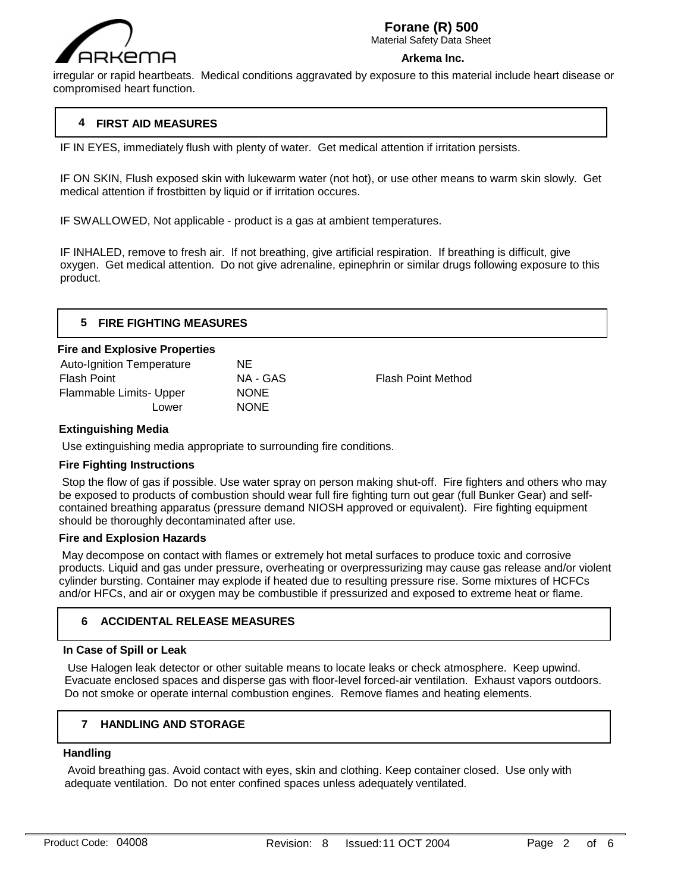

Material Safety Data Sheet

#### **Arkema Inc.**

irregular or rapid heartbeats. Medical conditions aggravated by exposure to this material include heart disease or compromised heart function.

# **4 FIRST AID MEASURES**

IF IN EYES, immediately flush with plenty of water. Get medical attention if irritation persists.

IF ON SKIN, Flush exposed skin with lukewarm water (not hot), or use other means to warm skin slowly. Get medical attention if frostbitten by liquid or if irritation occures.

IF SWALLOWED, Not applicable - product is a gas at ambient temperatures.

IF INHALED, remove to fresh air. If not breathing, give artificial respiration. If breathing is difficult, give oxygen. Get medical attention. Do not give adrenaline, epinephrin or similar drugs following exposure to this product.

|     | <b>FIRE FIGHTING MEASURES</b> |  |
|-----|-------------------------------|--|
| $-$ | - - -<br>--                   |  |

#### **Fire and Explosive Properties**

| Auto-Ignition Temperature | NΕ          |                           |
|---------------------------|-------------|---------------------------|
| <b>Flash Point</b>        | NA - GAS    | <b>Flash Point Method</b> |
| Flammable Limits- Upper   | <b>NONE</b> |                           |
| Lower                     | <b>NONE</b> |                           |
|                           |             |                           |

## **Extinguishing Media**

Use extinguishing media appropriate to surrounding fire conditions.

## **Fire Fighting Instructions**

 Stop the flow of gas if possible. Use water spray on person making shut-off. Fire fighters and others who may be exposed to products of combustion should wear full fire fighting turn out gear (full Bunker Gear) and selfcontained breathing apparatus (pressure demand NIOSH approved or equivalent). Fire fighting equipment should be thoroughly decontaminated after use.

#### **Fire and Explosion Hazards**

 May decompose on contact with flames or extremely hot metal surfaces to produce toxic and corrosive products. Liquid and gas under pressure, overheating or overpressurizing may cause gas release and/or violent cylinder bursting. Container may explode if heated due to resulting pressure rise. Some mixtures of HCFCs and/or HFCs, and air or oxygen may be combustible if pressurized and exposed to extreme heat or flame.

## **6 ACCIDENTAL RELEASE MEASURES**

## **In Case of Spill or Leak**

 Use Halogen leak detector or other suitable means to locate leaks or check atmosphere. Keep upwind. Evacuate enclosed spaces and disperse gas with floor-level forced-air ventilation. Exhaust vapors outdoors. Do not smoke or operate internal combustion engines. Remove flames and heating elements.

# **7 HANDLING AND STORAGE**

#### **Handling**

 $\overline{a}$ 

 Avoid breathing gas. Avoid contact with eyes, skin and clothing. Keep container closed. Use only with adequate ventilation. Do not enter confined spaces unless adequately ventilated.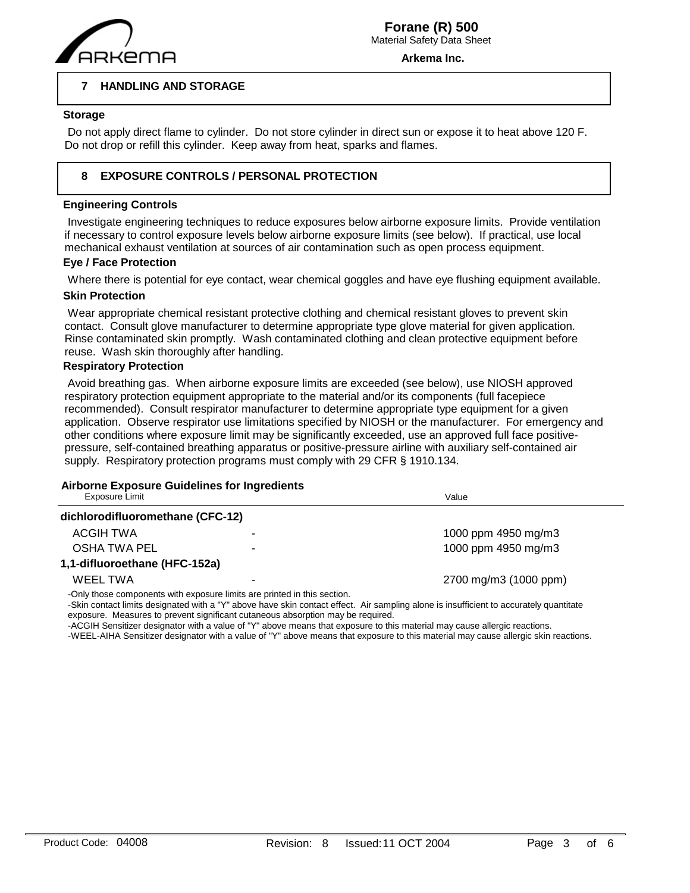

**Arkema Inc.**

Value

#### **7 HANDLING AND STORAGE**

#### **Storage**

 $\overline{a}$ 

 Do not apply direct flame to cylinder. Do not store cylinder in direct sun or expose it to heat above 120 F. Do not drop or refill this cylinder. Keep away from heat, sparks and flames.

#### **8 EXPOSURE CONTROLS / PERSONAL PROTECTION**

### **Engineering Controls**

 Investigate engineering techniques to reduce exposures below airborne exposure limits. Provide ventilation if necessary to control exposure levels below airborne exposure limits (see below). If practical, use local mechanical exhaust ventilation at sources of air contamination such as open process equipment.

#### **Eye / Face Protection**

Where there is potential for eye contact, wear chemical goggles and have eye flushing equipment available.

#### **Skin Protection**

Wear appropriate chemical resistant protective clothing and chemical resistant gloves to prevent skin contact. Consult glove manufacturer to determine appropriate type glove material for given application. Rinse contaminated skin promptly. Wash contaminated clothing and clean protective equipment before reuse. Wash skin thoroughly after handling.

#### **Respiratory Protection**

 Avoid breathing gas. When airborne exposure limits are exceeded (see below), use NIOSH approved respiratory protection equipment appropriate to the material and/or its components (full facepiece recommended). Consult respirator manufacturer to determine appropriate type equipment for a given application. Observe respirator use limitations specified by NIOSH or the manufacturer. For emergency and other conditions where exposure limit may be significantly exceeded, use an approved full face positivepressure, self-contained breathing apparatus or positive-pressure airline with auxiliary self-contained air supply. Respiratory protection programs must comply with 29 CFR § 1910.134.

# **Airborne Exposure Guidelines for Ingredients**

| <b>Exposure Limit</b> |
|-----------------------|
|-----------------------|

| dichlorodifluoromethane (CFC-12)                                         |   |                       |
|--------------------------------------------------------------------------|---|-----------------------|
| ACGIH TWA                                                                |   | 1000 ppm 4950 mg/m3   |
| OSHA TWA PEL                                                             | ۰ | 1000 ppm 4950 mg/m3   |
| 1,1-difluoroethane (HFC-152a)                                            |   |                       |
| WEEL TWA                                                                 | ۰ | 2700 mg/m3 (1000 ppm) |
| -Only those components with exposure limits are printed in this section. |   |                       |

-Skin contact limits designated with a "Y" above have skin contact effect. Air sampling alone is insufficient to accurately quantitate

exposure. Measures to prevent significant cutaneous absorption may be required.

-ACGIH Sensitizer designator with a value of "Y" above means that exposure to this material may cause allergic reactions.

-WEEL-AIHA Sensitizer designator with a value of "Y" above means that exposure to this material may cause allergic skin reactions.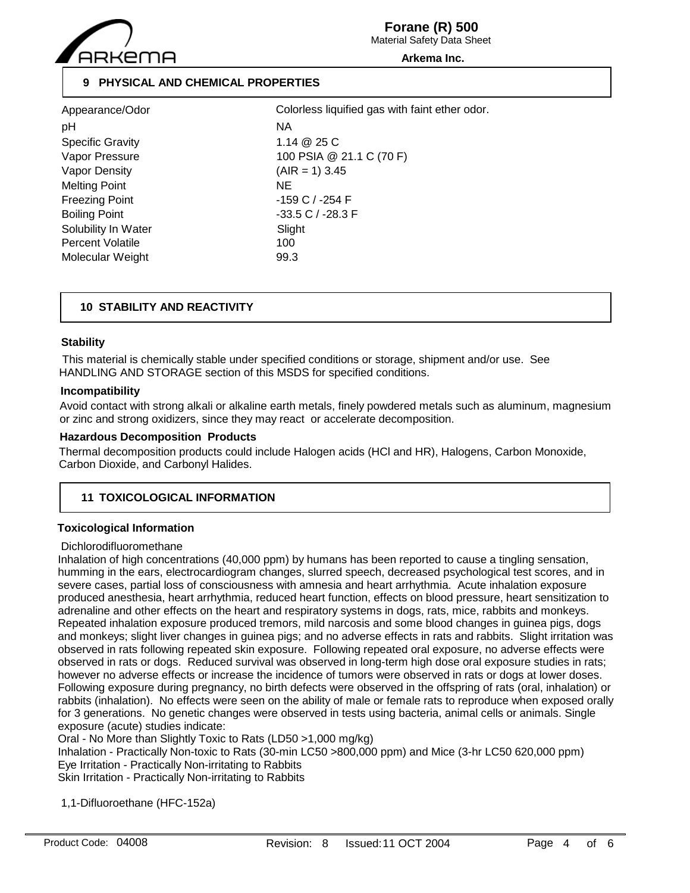

Material Safety Data Sheet

#### **Arkema Inc.**

# **9 PHYSICAL AND CHEMICAL PROPERTIES**

| Appearance/Odor         | Colo    |
|-------------------------|---------|
| pH                      | ΝA      |
| <b>Specific Gravity</b> | 1.14    |
| Vapor Pressure          | 100     |
| Vapor Density           | (AIR    |
| <b>Melting Point</b>    | NE      |
| <b>Freezing Point</b>   | $-159$  |
| <b>Boiling Point</b>    | $-33.5$ |
| Solubility In Water     | Sligh   |
| <b>Percent Volatile</b> | 100     |
| Molecular Weight        | 99.3    |

 $1.14 \ @ 25 C$ 100 PSIA @ 21.1 C (70 F)  $(AIR = 1)$  3.45 -159 C / -254 F  $-33.5$  C /  $-28.3$  F Slight Colorless liquified gas with faint ether odor.

# **10 STABILITY AND REACTIVITY**

#### **Stability**

 This material is chemically stable under specified conditions or storage, shipment and/or use. See HANDLING AND STORAGE section of this MSDS for specified conditions.

#### **Incompatibility**

Avoid contact with strong alkali or alkaline earth metals, finely powdered metals such as aluminum, magnesium or zinc and strong oxidizers, since they may react or accelerate decomposition.

#### **Hazardous Decomposition Products**

Thermal decomposition products could include Halogen acids (HCl and HR), Halogens, Carbon Monoxide, Carbon Dioxide, and Carbonyl Halides.

# **11 TOXICOLOGICAL INFORMATION**

## **Toxicological Information**

#### Dichlorodifluoromethane

Inhalation of high concentrations (40,000 ppm) by humans has been reported to cause a tingling sensation, humming in the ears, electrocardiogram changes, slurred speech, decreased psychological test scores, and in severe cases, partial loss of consciousness with amnesia and heart arrhythmia. Acute inhalation exposure produced anesthesia, heart arrhythmia, reduced heart function, effects on blood pressure, heart sensitization to adrenaline and other effects on the heart and respiratory systems in dogs, rats, mice, rabbits and monkeys. Repeated inhalation exposure produced tremors, mild narcosis and some blood changes in guinea pigs, dogs and monkeys; slight liver changes in guinea pigs; and no adverse effects in rats and rabbits. Slight irritation was observed in rats following repeated skin exposure. Following repeated oral exposure, no adverse effects were observed in rats or dogs. Reduced survival was observed in long-term high dose oral exposure studies in rats; however no adverse effects or increase the incidence of tumors were observed in rats or dogs at lower doses. Following exposure during pregnancy, no birth defects were observed in the offspring of rats (oral, inhalation) or rabbits (inhalation). No effects were seen on the ability of male or female rats to reproduce when exposed orally for 3 generations. No genetic changes were observed in tests using bacteria, animal cells or animals. Single exposure (acute) studies indicate:

Oral - No More than Slightly Toxic to Rats (LD50 >1,000 mg/kg)

Inhalation - Practically Non-toxic to Rats (30-min LC50 >800,000 ppm) and Mice (3-hr LC50 620,000 ppm) Eye Irritation - Practically Non-irritating to Rabbits

Skin Irritation - Practically Non-irritating to Rabbits

1,1-Difluoroethane (HFC-152a)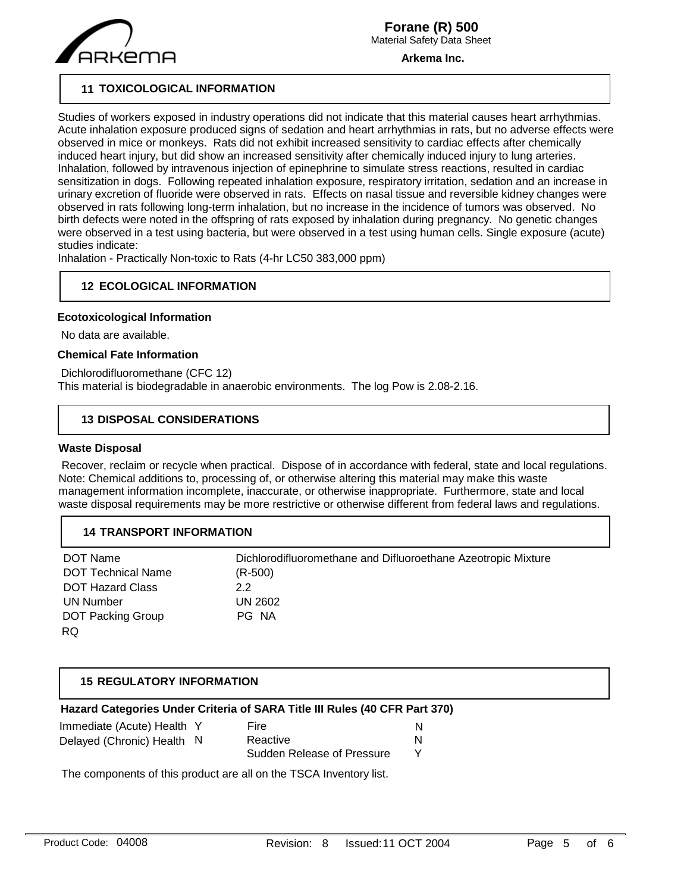

**Arkema Inc.**

# **11 TOXICOLOGICAL INFORMATION**

Studies of workers exposed in industry operations did not indicate that this material causes heart arrhythmias. Acute inhalation exposure produced signs of sedation and heart arrhythmias in rats, but no adverse effects were observed in mice or monkeys. Rats did not exhibit increased sensitivity to cardiac effects after chemically induced heart injury, but did show an increased sensitivity after chemically induced injury to lung arteries. Inhalation, followed by intravenous injection of epinephrine to simulate stress reactions, resulted in cardiac sensitization in dogs. Following repeated inhalation exposure, respiratory irritation, sedation and an increase in urinary excretion of fluoride were observed in rats. Effects on nasal tissue and reversible kidney changes were observed in rats following long-term inhalation, but no increase in the incidence of tumors was observed. No birth defects were noted in the offspring of rats exposed by inhalation during pregnancy. No genetic changes were observed in a test using bacteria, but were observed in a test using human cells. Single exposure (acute) studies indicate:

Inhalation - Practically Non-toxic to Rats (4-hr LC50 383,000 ppm)

# **12 ECOLOGICAL INFORMATION**

#### **Ecotoxicological Information**

No data are available.

#### **Chemical Fate Information**

 Dichlorodifluoromethane (CFC 12) This material is biodegradable in anaerobic environments. The log Pow is 2.08-2.16.

# **13 DISPOSAL CONSIDERATIONS**

#### **Waste Disposal**

 Recover, reclaim or recycle when practical. Dispose of in accordance with federal, state and local regulations. Note: Chemical additions to, processing of, or otherwise altering this material may make this waste management information incomplete, inaccurate, or otherwise inappropriate. Furthermore, state and local waste disposal requirements may be more restrictive or otherwise different from federal laws and regulations.

## **14 TRANSPORT INFORMATION**

| DOT Name                  | Dichlorodifluoromethane and Difluoroethane Azeotropic Mixture |
|---------------------------|---------------------------------------------------------------|
| <b>DOT Technical Name</b> | $(R-500)$                                                     |
| <b>DOT Hazard Class</b>   | 2.2                                                           |
| UN Number                 | UN 2602                                                       |
| <b>DOT Packing Group</b>  | PG NA                                                         |
| RQ                        |                                                               |

# **15 REGULATORY INFORMATION**

| Hazard Categories Under Criteria of SARA Title III Rules (40 CFR Part 370) |
|----------------------------------------------------------------------------|
|----------------------------------------------------------------------------|

| Immediate (Acute) Health Y | Fire                       |  |
|----------------------------|----------------------------|--|
| Delayed (Chronic) Health N | Reactive                   |  |
|                            | Sudden Release of Pressure |  |

The components of this product are all on the TSCA Inventory list.